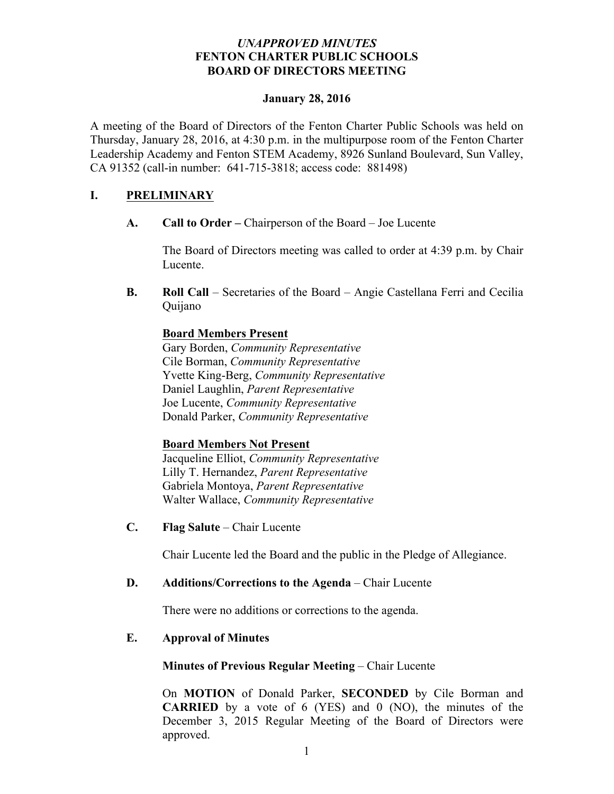## *UNAPPROVED MINUTES* **FENTON CHARTER PUBLIC SCHOOLS BOARD OF DIRECTORS MEETING**

#### **January 28, 2016**

A meeting of the Board of Directors of the Fenton Charter Public Schools was held on Thursday, January 28, 2016, at 4:30 p.m. in the multipurpose room of the Fenton Charter Leadership Academy and Fenton STEM Academy, 8926 Sunland Boulevard, Sun Valley, CA 91352 (call-in number: 641-715-3818; access code: 881498)

## **I. PRELIMINARY**

**A. Call to Order –** Chairperson of the Board – Joe Lucente

The Board of Directors meeting was called to order at 4:39 p.m. by Chair Lucente.

**B. Roll Call** – Secretaries of the Board – Angie Castellana Ferri and Cecilia Quijano

## **Board Members Present**

Gary Borden, *Community Representative* Cile Borman, *Community Representative* Yvette King-Berg, *Community Representative* Daniel Laughlin, *Parent Representative* Joe Lucente, *Community Representative* Donald Parker, *Community Representative*

### **Board Members Not Present**

Jacqueline Elliot, *Community Representative* Lilly T. Hernandez, *Parent Representative* Gabriela Montoya, *Parent Representative* Walter Wallace, *Community Representative* 

**C. Flag Salute** – Chair Lucente

Chair Lucente led the Board and the public in the Pledge of Allegiance.

### **D. Additions/Corrections to the Agenda** – Chair Lucente

There were no additions or corrections to the agenda.

# **E. Approval of Minutes**

### **Minutes of Previous Regular Meeting – Chair Lucente**

On **MOTION** of Donald Parker, **SECONDED** by Cile Borman and **CARRIED** by a vote of 6 (YES) and 0 (NO), the minutes of the December 3, 2015 Regular Meeting of the Board of Directors were approved.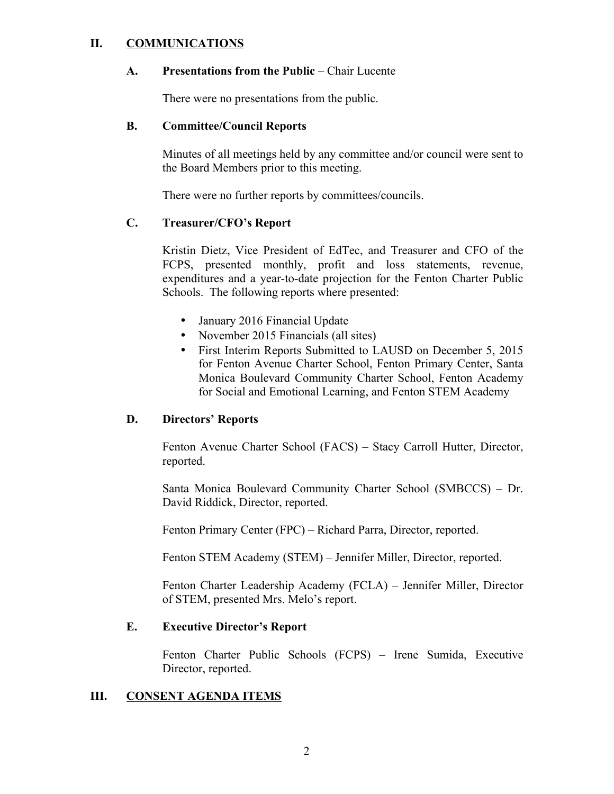## **II. COMMUNICATIONS**

#### **A. Presentations from the Public** – Chair Lucente

There were no presentations from the public.

#### **B. Committee/Council Reports**

Minutes of all meetings held by any committee and/or council were sent to the Board Members prior to this meeting.

There were no further reports by committees/councils.

## **C. Treasurer/CFO's Report**

Kristin Dietz, Vice President of EdTec, and Treasurer and CFO of the FCPS, presented monthly, profit and loss statements, revenue, expenditures and a year-to-date projection for the Fenton Charter Public Schools. The following reports where presented:

- January 2016 Financial Update
- November 2015 Financials (all sites)
- First Interim Reports Submitted to LAUSD on December 5, 2015 for Fenton Avenue Charter School, Fenton Primary Center, Santa Monica Boulevard Community Charter School, Fenton Academy for Social and Emotional Learning, and Fenton STEM Academy

### **D. Directors' Reports**

Fenton Avenue Charter School (FACS) – Stacy Carroll Hutter, Director, reported.

Santa Monica Boulevard Community Charter School (SMBCCS) – Dr. David Riddick, Director, reported.

Fenton Primary Center (FPC) – Richard Parra, Director, reported.

Fenton STEM Academy (STEM) – Jennifer Miller, Director, reported.

Fenton Charter Leadership Academy (FCLA) – Jennifer Miller, Director of STEM, presented Mrs. Melo's report.

### **E. Executive Director's Report**

Fenton Charter Public Schools (FCPS) – Irene Sumida, Executive Director, reported.

### **III. CONSENT AGENDA ITEMS**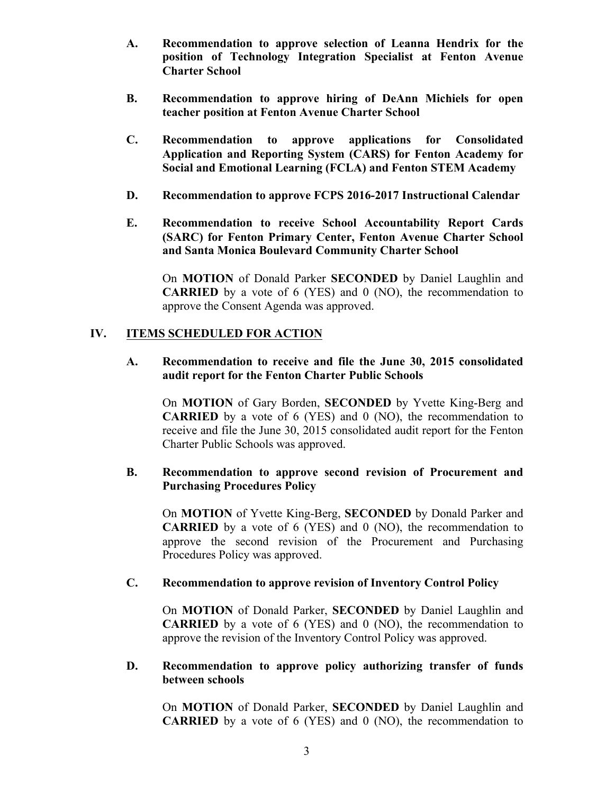- **A. Recommendation to approve selection of Leanna Hendrix for the position of Technology Integration Specialist at Fenton Avenue Charter School**
- **B. Recommendation to approve hiring of DeAnn Michiels for open teacher position at Fenton Avenue Charter School**
- **C. Recommendation to approve applications for Consolidated Application and Reporting System (CARS) for Fenton Academy for Social and Emotional Learning (FCLA) and Fenton STEM Academy**
- **D. Recommendation to approve FCPS 2016-2017 Instructional Calendar**
- **E. Recommendation to receive School Accountability Report Cards (SARC) for Fenton Primary Center, Fenton Avenue Charter School and Santa Monica Boulevard Community Charter School**

On **MOTION** of Donald Parker **SECONDED** by Daniel Laughlin and **CARRIED** by a vote of 6 (YES) and 0 (NO), the recommendation to approve the Consent Agenda was approved.

## **IV. ITEMS SCHEDULED FOR ACTION**

## **A. Recommendation to receive and file the June 30, 2015 consolidated audit report for the Fenton Charter Public Schools**

On **MOTION** of Gary Borden, **SECONDED** by Yvette King-Berg and **CARRIED** by a vote of 6 (YES) and 0 (NO), the recommendation to receive and file the June 30, 2015 consolidated audit report for the Fenton Charter Public Schools was approved.

# **B. Recommendation to approve second revision of Procurement and Purchasing Procedures Policy**

On **MOTION** of Yvette King-Berg, **SECONDED** by Donald Parker and **CARRIED** by a vote of 6 (YES) and 0 (NO), the recommendation to approve the second revision of the Procurement and Purchasing Procedures Policy was approved.

### **C. Recommendation to approve revision of Inventory Control Policy**

On **MOTION** of Donald Parker, **SECONDED** by Daniel Laughlin and **CARRIED** by a vote of 6 (YES) and 0 (NO), the recommendation to approve the revision of the Inventory Control Policy was approved.

### **D. Recommendation to approve policy authorizing transfer of funds between schools**

On **MOTION** of Donald Parker, **SECONDED** by Daniel Laughlin and **CARRIED** by a vote of 6 (YES) and 0 (NO), the recommendation to